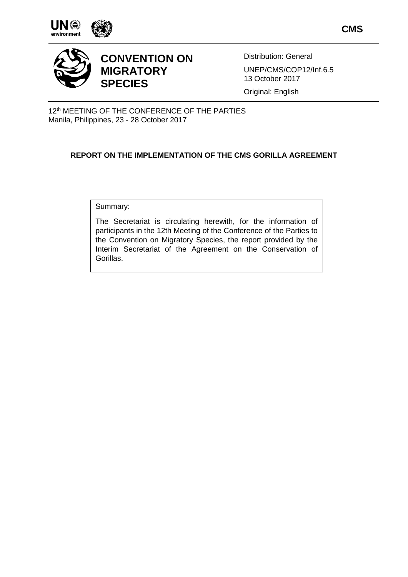







# **CONVENTION ON MIGRATORY SPECIES**

Distribution: General UNEP/CMS/COP12/Inf.6.5 13 October 2017

Original: English

12<sup>th</sup> MEETING OF THE CONFERENCE OF THE PARTIES Manila, Philippines, 23 - 28 October 2017

## **REPORT ON THE IMPLEMENTATION OF THE CMS GORILLA AGREEMENT**

Summary:

The Secretariat is circulating herewith, for the information of participants in the 12th Meeting of the Conference of the Parties to the Convention on Migratory Species, the report provided by the Interim Secretariat of the Agreement on the Conservation of Gorillas.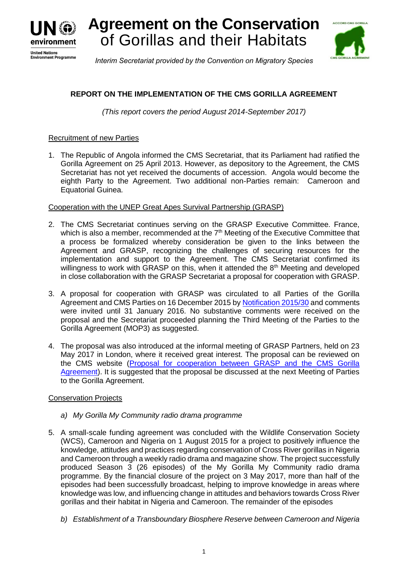

**Agreement on the Conservation** of Gorillas and their Habitats



*Interim Secretariat provided by the Convention on Migratory Species*

## **REPORT ON THE IMPLEMENTATION OF THE CMS GORILLA AGREEMENT**

*(This report covers the period August 2014-September 2017)*

### Recruitment of new Parties

1. The Republic of Angola informed the CMS Secretariat, that its Parliament had ratified the Gorilla Agreement on 25 April 2013. However, as depository to the Agreement, the CMS Secretariat has not yet received the documents of accession. Angola would become the eighth Party to the Agreement. Two additional non-Parties remain: Cameroon and Equatorial Guinea.

### Cooperation with the UNEP Great Apes Survival Partnership (GRASP)

- 2. The CMS Secretariat continues serving on the GRASP Executive Committee. France, which is also a member, recommended at the 7<sup>th</sup> Meeting of the Executive Committee that a process be formalized whereby consideration be given to the links between the Agreement and GRASP, recognizing the challenges of securing resources for the implementation and support to the Agreement. The CMS Secretariat confirmed its willingness to work with GRASP on this, when it attended the  $8<sup>th</sup>$  Meeting and developed in close collaboration with the GRASP Secretariat a proposal for cooperation with GRASP.
- 3. A proposal for cooperation with GRASP was circulated to all Parties of the Gorilla Agreement and CMS Parties on 16 December 2015 by [Notification 2015/30](http://www.cms.int/sites/default/files/030_Gorilla_MOP_and_GRASP_cooperation_en.pdf) and comments were invited until 31 January 2016. No substantive comments were received on the proposal and the Secretariat proceeded planning the Third Meeting of the Parties to the Gorilla Agreement (MOP3) as suggested.
- 4. The proposal was also introduced at the informal meeting of GRASP Partners, held on 23 May 2017 in London, where it received great interest. The proposal can be reviewed on the CMS website [\(Proposal for cooperation between GRASP and the CMS Gorilla](http://www.cms.int/sites/default/files/Proposal%20for%20cooperation%20between%20GRASP%20and%20the%20CMS%20Gorilla%20Agreement.pdf)  [Agreement\)](http://www.cms.int/sites/default/files/Proposal%20for%20cooperation%20between%20GRASP%20and%20the%20CMS%20Gorilla%20Agreement.pdf). It is suggested that the proposal be discussed at the next Meeting of Parties to the Gorilla Agreement.

#### **Conservation Projects**

- *a) My Gorilla My Community radio drama programme*
- 5. A small-scale funding agreement was concluded with the Wildlife Conservation Society (WCS), Cameroon and Nigeria on 1 August 2015 for a project to positively influence the knowledge, attitudes and practices regarding conservation of Cross River gorillas in Nigeria and Cameroon through a weekly radio drama and magazine show. The project successfully produced Season 3 (26 episodes) of the My Gorilla My Community radio drama programme. By the financial closure of the project on 3 May 2017, more than half of the episodes had been successfully broadcast, helping to improve knowledge in areas where knowledge was low, and influencing change in attitudes and behaviors towards Cross River gorillas and their habitat in Nigeria and Cameroon. The remainder of the episodes
	- *b) Establishment of a Transboundary Biosphere Reserve between Cameroon and Nigeria*